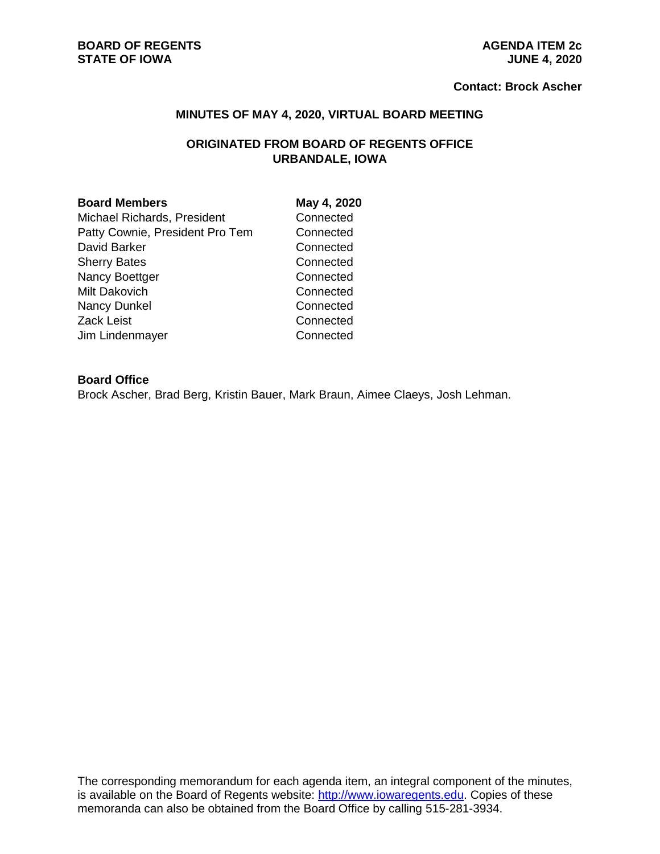#### **Contact: Brock Ascher**

#### **MINUTES OF MAY 4, 2020, VIRTUAL BOARD MEETING**

# **ORIGINATED FROM BOARD OF REGENTS OFFICE URBANDALE, IOWA**

#### **Board Members May 4, 2020**

Michael Richards, President Connected Patty Cownie, President Pro Tem Connected David Barker **Connected** Sherry Bates **Connected** Nancy Boettger Connected Milt Dakovich **Connected** Nancy Dunkel Connected Zack Leist **Connected** Jim Lindenmayer Connected

## **Board Office**

Brock Ascher, Brad Berg, Kristin Bauer, Mark Braun, Aimee Claeys, Josh Lehman.

The corresponding memorandum for each agenda item, an integral component of the minutes, is available on the Board of Regents website: [http://www.iowaregents.edu.](http://www.iowaregents.edu/) Copies of these memoranda can also be obtained from the Board Office by calling 515-281-3934.